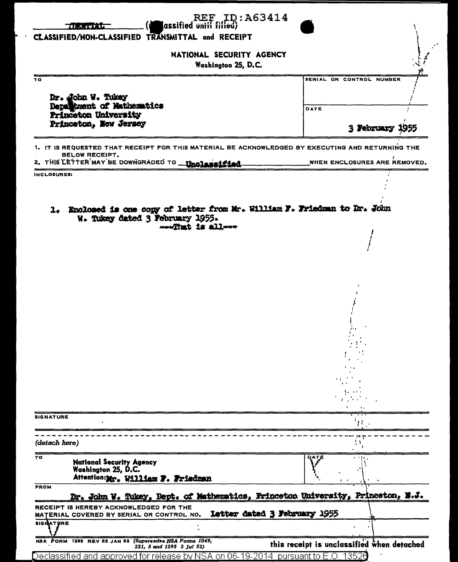| <b>ID:A63414</b><br>$\mathbf{REF}$<br>(assified until filled)<br>787. JEDNÝ STA                                                                                                  |                                            |
|----------------------------------------------------------------------------------------------------------------------------------------------------------------------------------|--------------------------------------------|
| CLASSIFIED/NON-CLASSIFIED TRANSMITTAL and RECEIPT                                                                                                                                |                                            |
| NATIONAL SECURITY AGENCY<br>Washington 25, D.C.                                                                                                                                  |                                            |
| TО                                                                                                                                                                               | SERIAL OR CONTROL NUMBER                   |
| Dr. John W. Tukey<br>Department of Mathematics<br>Princeton University<br>Princeton, New Jersey                                                                                  |                                            |
|                                                                                                                                                                                  | DATE                                       |
|                                                                                                                                                                                  | 3 February                                 |
| 1. IT IS REQUESTED THAT RECEIPT FOR THIS MATERIAL BE ACKNOWLEDGED BY EXECUTING AND RETURNING THE<br><b>BELOW RECEIPT.</b><br>2. THIS LETTER MAY BE DOWNGRADED TO __ Unglassified | WHEN ENCLOSURES ARE REMOVED.               |
| INCLOSURES:                                                                                                                                                                      |                                            |
|                                                                                                                                                                                  |                                            |
| 1. Enclosed is one copy of letter from Mr. William F. Friedman to Dr. John<br>W. Tukey dated 3 February 1955.<br>www.That is allway                                              |                                            |
|                                                                                                                                                                                  |                                            |
|                                                                                                                                                                                  |                                            |
|                                                                                                                                                                                  |                                            |
|                                                                                                                                                                                  |                                            |
|                                                                                                                                                                                  |                                            |
|                                                                                                                                                                                  |                                            |
|                                                                                                                                                                                  |                                            |
|                                                                                                                                                                                  |                                            |
|                                                                                                                                                                                  |                                            |
|                                                                                                                                                                                  |                                            |
|                                                                                                                                                                                  |                                            |
|                                                                                                                                                                                  |                                            |
| <b>SIGNATURE</b>                                                                                                                                                                 | 11                                         |
|                                                                                                                                                                                  |                                            |
| (detach here)                                                                                                                                                                    |                                            |
| 70<br><b>National Security Agency</b><br>Washington 25, D.C.<br>Attention:Mr. William F. Friedman                                                                                | <b>DATE</b>                                |
| <b>FROM</b>                                                                                                                                                                      |                                            |
| Dr. John W. Tukey, Dept. of Mathematics, Princeton University, Princeton, N.J.<br>RECEIPT IS HEREBY ACKNOWLEDGED FOR THE                                                         |                                            |
| Letter dated 3 February 1955<br>MATERIAL COVERED BY SERIAL OR CONTROL NO.<br><b>SIGNATURE</b>                                                                                    |                                            |
|                                                                                                                                                                                  |                                            |
| NSA FORM 1295 REV 22 JAN 53 (Supersedes NSA Forms 1049,                                                                                                                          | this receipt is unclassified when detached |